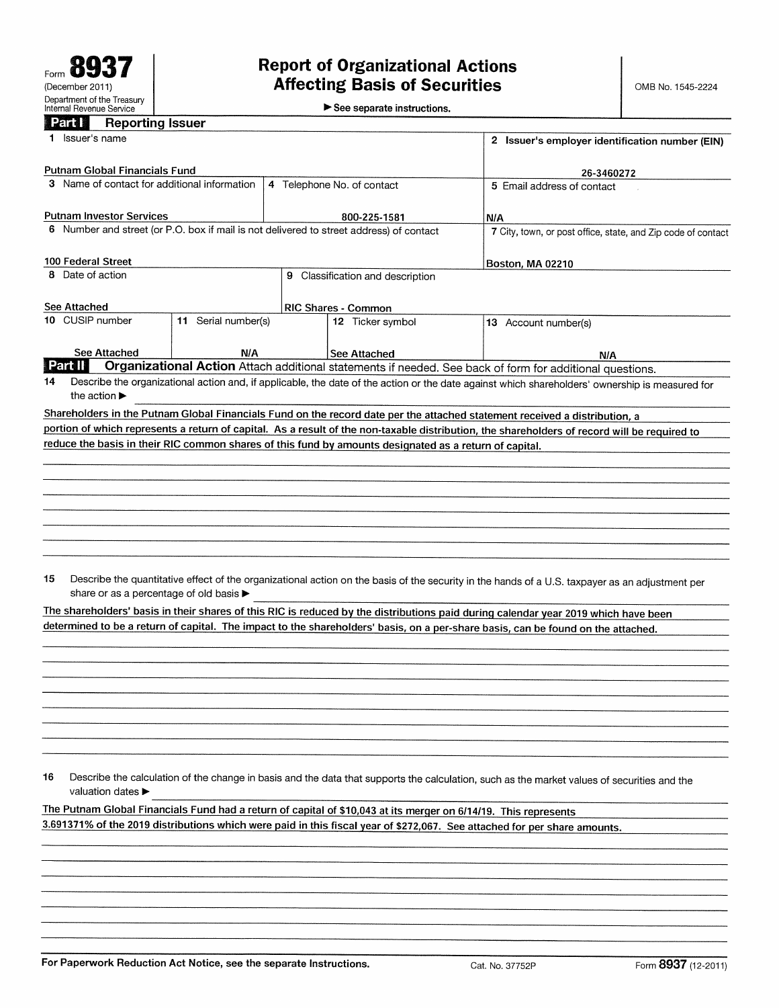## **Part I** Reporting Issuer

| <b>LEIGHT</b><br><b>Reporting issuer</b>                                                |                     |                                                 |                                                                                                                 |                                                                                                                                                 |  |  |
|-----------------------------------------------------------------------------------------|---------------------|-------------------------------------------------|-----------------------------------------------------------------------------------------------------------------|-------------------------------------------------------------------------------------------------------------------------------------------------|--|--|
| Issuer's name<br>1.                                                                     |                     | 2 Issuer's employer identification number (EIN) |                                                                                                                 |                                                                                                                                                 |  |  |
| <b>Putnam Global Financials Fund</b>                                                    |                     |                                                 |                                                                                                                 | 26-3460272                                                                                                                                      |  |  |
| 3 Name of contact for additional information                                            |                     |                                                 | 4 Telephone No. of contact                                                                                      | 5 Email address of contact                                                                                                                      |  |  |
| <b>Putnam Investor Services</b>                                                         |                     |                                                 | 800-225-1581                                                                                                    | N/A                                                                                                                                             |  |  |
| 6 Number and street (or P.O. box if mail is not delivered to street address) of contact |                     |                                                 |                                                                                                                 | 7 City, town, or post office, state, and Zip code of contact                                                                                    |  |  |
|                                                                                         |                     |                                                 |                                                                                                                 |                                                                                                                                                 |  |  |
| 100 Federal Street                                                                      |                     |                                                 |                                                                                                                 | <b>Boston, MA 02210</b>                                                                                                                         |  |  |
| 8 Date of action<br>9 Classification and description                                    |                     |                                                 |                                                                                                                 |                                                                                                                                                 |  |  |
| See Attached                                                                            |                     |                                                 | <b>RIC Shares - Common</b>                                                                                      |                                                                                                                                                 |  |  |
| 10 CUSIP number                                                                         | 11 Serial number(s) |                                                 | 12 Ticker symbol                                                                                                | 13 Account number(s)                                                                                                                            |  |  |
|                                                                                         |                     |                                                 |                                                                                                                 |                                                                                                                                                 |  |  |
| See Attached                                                                            | N/A                 |                                                 | <b>See Attached</b>                                                                                             | N/A                                                                                                                                             |  |  |
| Part II                                                                                 |                     |                                                 |                                                                                                                 | Organizational Action Attach additional statements if needed. See back of form for additional questions.                                        |  |  |
| 14<br>the action $\blacktriangleright$                                                  |                     |                                                 |                                                                                                                 | Describe the organizational action and, if applicable, the date of the action or the date against which shareholders' ownership is measured for |  |  |
|                                                                                         |                     |                                                 |                                                                                                                 |                                                                                                                                                 |  |  |
|                                                                                         |                     |                                                 |                                                                                                                 | Shareholders in the Putnam Global Financials Fund on the record date per the attached statement received a distribution, a                      |  |  |
|                                                                                         |                     |                                                 | reduce the basis in their RIC common shares of this fund by amounts designated as a return of capital.          | portion of which represents a return of capital. As a result of the non-taxable distribution, the shareholders of record will be required to    |  |  |
|                                                                                         |                     |                                                 |                                                                                                                 |                                                                                                                                                 |  |  |
|                                                                                         |                     |                                                 |                                                                                                                 |                                                                                                                                                 |  |  |
|                                                                                         |                     |                                                 |                                                                                                                 |                                                                                                                                                 |  |  |
|                                                                                         |                     |                                                 |                                                                                                                 |                                                                                                                                                 |  |  |
|                                                                                         |                     |                                                 |                                                                                                                 |                                                                                                                                                 |  |  |
|                                                                                         |                     |                                                 |                                                                                                                 |                                                                                                                                                 |  |  |
|                                                                                         |                     |                                                 |                                                                                                                 |                                                                                                                                                 |  |  |
|                                                                                         |                     |                                                 |                                                                                                                 |                                                                                                                                                 |  |  |
| 15<br>share or as a percentage of old basis ▶                                           |                     |                                                 |                                                                                                                 | Describe the quantitative effect of the organizational action on the basis of the security in the hands of a U.S. taxpayer as an adjustment per |  |  |
|                                                                                         |                     |                                                 |                                                                                                                 | The shareholders' basis in their shares of this RIC is reduced by the distributions paid during calendar year 2019 which have been              |  |  |
|                                                                                         |                     |                                                 |                                                                                                                 | determined to be a return of capital. The impact to the shareholders' basis, on a per-share basis, can be found on the attached.                |  |  |
|                                                                                         |                     |                                                 |                                                                                                                 |                                                                                                                                                 |  |  |
|                                                                                         |                     |                                                 |                                                                                                                 |                                                                                                                                                 |  |  |
|                                                                                         |                     |                                                 |                                                                                                                 |                                                                                                                                                 |  |  |
|                                                                                         |                     |                                                 |                                                                                                                 |                                                                                                                                                 |  |  |
|                                                                                         |                     |                                                 |                                                                                                                 |                                                                                                                                                 |  |  |
|                                                                                         |                     |                                                 |                                                                                                                 |                                                                                                                                                 |  |  |
|                                                                                         |                     |                                                 |                                                                                                                 |                                                                                                                                                 |  |  |
|                                                                                         |                     |                                                 |                                                                                                                 |                                                                                                                                                 |  |  |
| 16                                                                                      |                     |                                                 |                                                                                                                 | Describe the calculation of the change in basis and the data that supports the calculation, such as the market values of securities and the     |  |  |
| valuation dates ▶                                                                       |                     |                                                 |                                                                                                                 |                                                                                                                                                 |  |  |
|                                                                                         |                     |                                                 | The Putnam Global Financials Fund had a return of capital of \$10,043 at its merger on 6/14/19. This represents |                                                                                                                                                 |  |  |
|                                                                                         |                     |                                                 |                                                                                                                 | 3.691371% of the 2019 distributions which were paid in this fiscal year of \$272,067. See attached for per share amounts.                       |  |  |
|                                                                                         |                     |                                                 |                                                                                                                 |                                                                                                                                                 |  |  |
|                                                                                         |                     |                                                 |                                                                                                                 |                                                                                                                                                 |  |  |
|                                                                                         |                     |                                                 |                                                                                                                 |                                                                                                                                                 |  |  |
|                                                                                         |                     |                                                 |                                                                                                                 |                                                                                                                                                 |  |  |
|                                                                                         |                     |                                                 |                                                                                                                 |                                                                                                                                                 |  |  |
|                                                                                         |                     |                                                 |                                                                                                                 |                                                                                                                                                 |  |  |